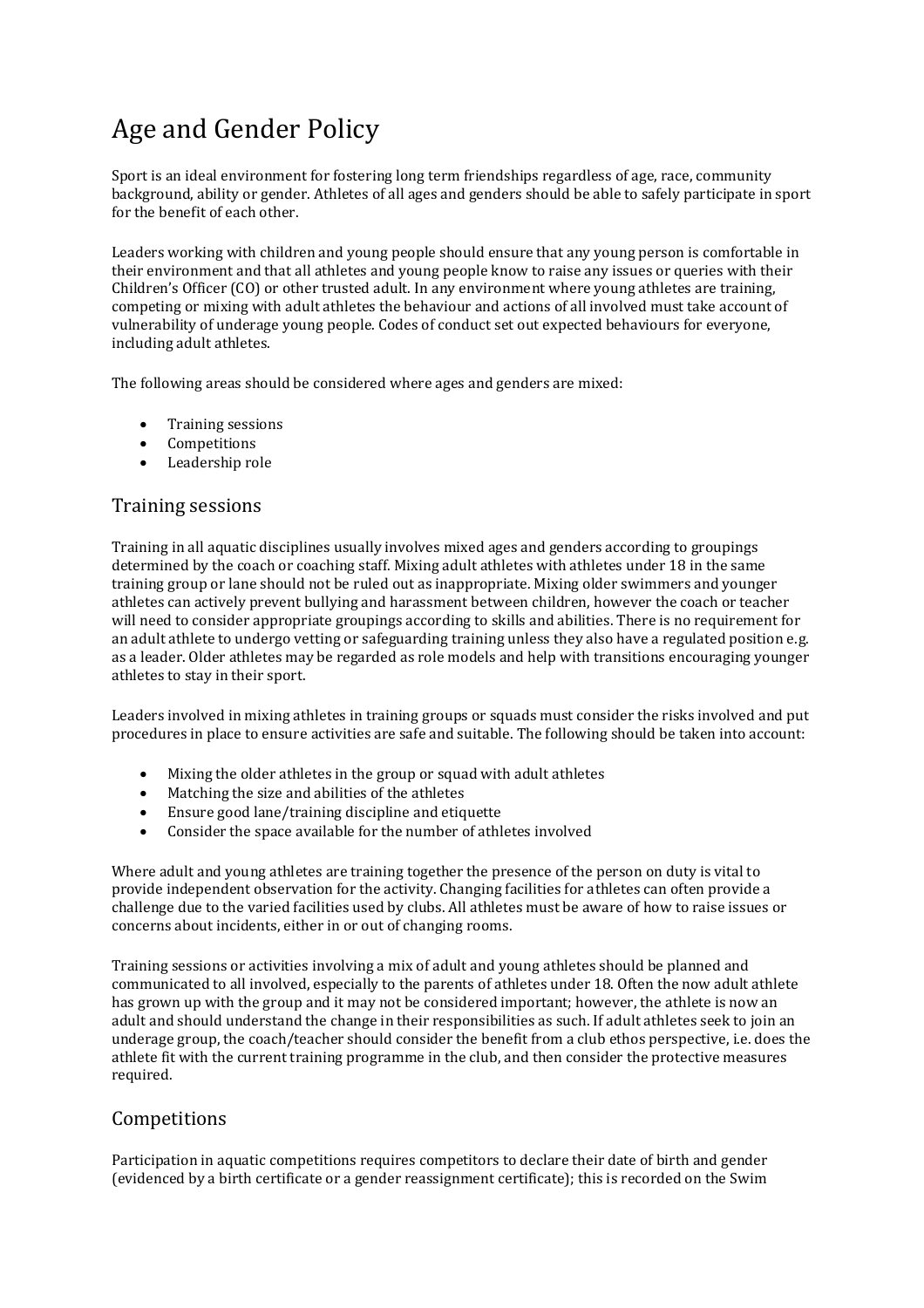# Age and Gender Policy

Sport is an ideal environment for fostering long term friendships regardless of age, race, community background, ability or gender. Athletes of all ages and genders should be able to safely participate in sport for the benefit of each other.

Leaders working with children and young people should ensure that any young person is comfortable in their environment and that all athletes and young people know to raise any issues or queries with their Children's Officer (CO) or other trusted adult. In any environment where young athletes are training, competing or mixing with adult athletes the behaviour and actions of all involved must take account of vulnerability of underage young people. Codes of conduct set out expected behaviours for everyone, including adult athletes.

The following areas should be considered where ages and genders are mixed:

- Training sessions
- Competitions
- Leadership role

# Training sessions

Training in all aquatic disciplines usually involves mixed ages and genders according to groupings determined by the coach or coaching staff. Mixing adult athletes with athletes under 18 in the same training group or lane should not be ruled out as inappropriate. Mixing older swimmers and younger athletes can actively prevent bullying and harassment between children, however the coach or teacher will need to consider appropriate groupings according to skills and abilities. There is no requirement for an adult athlete to undergo vetting or safeguarding training unless they also have a regulated position e.g. as a leader. Older athletes may be regarded as role models and help with transitions encouraging younger athletes to stay in their sport.

Leaders involved in mixing athletes in training groups or squads must consider the risks involved and put procedures in place to ensure activities are safe and suitable. The following should be taken into account:

- Mixing the older athletes in the group or squad with adult athletes
- Matching the size and abilities of the athletes
- Ensure good lane/training discipline and etiquette
- Consider the space available for the number of athletes involved

Where adult and young athletes are training together the presence of the person on duty is vital to provide independent observation for the activity. Changing facilities for athletes can often provide a challenge due to the varied facilities used by clubs. All athletes must be aware of how to raise issues or concerns about incidents, either in or out of changing rooms.

Training sessions or activities involving a mix of adult and young athletes should be planned and communicated to all involved, especially to the parents of athletes under 18. Often the now adult athlete has grown up with the group and it may not be considered important; however, the athlete is now an adult and should understand the change in their responsibilities as such. If adult athletes seek to join an underage group, the coach/teacher should consider the benefit from a club ethos perspective, i.e. does the athlete fit with the current training programme in the club, and then consider the protective measures required.

### Competitions

Participation in aquatic competitions requires competitors to declare their date of birth and gender (evidenced by a birth certificate or a gender reassignment certificate); this is recorded on the Swim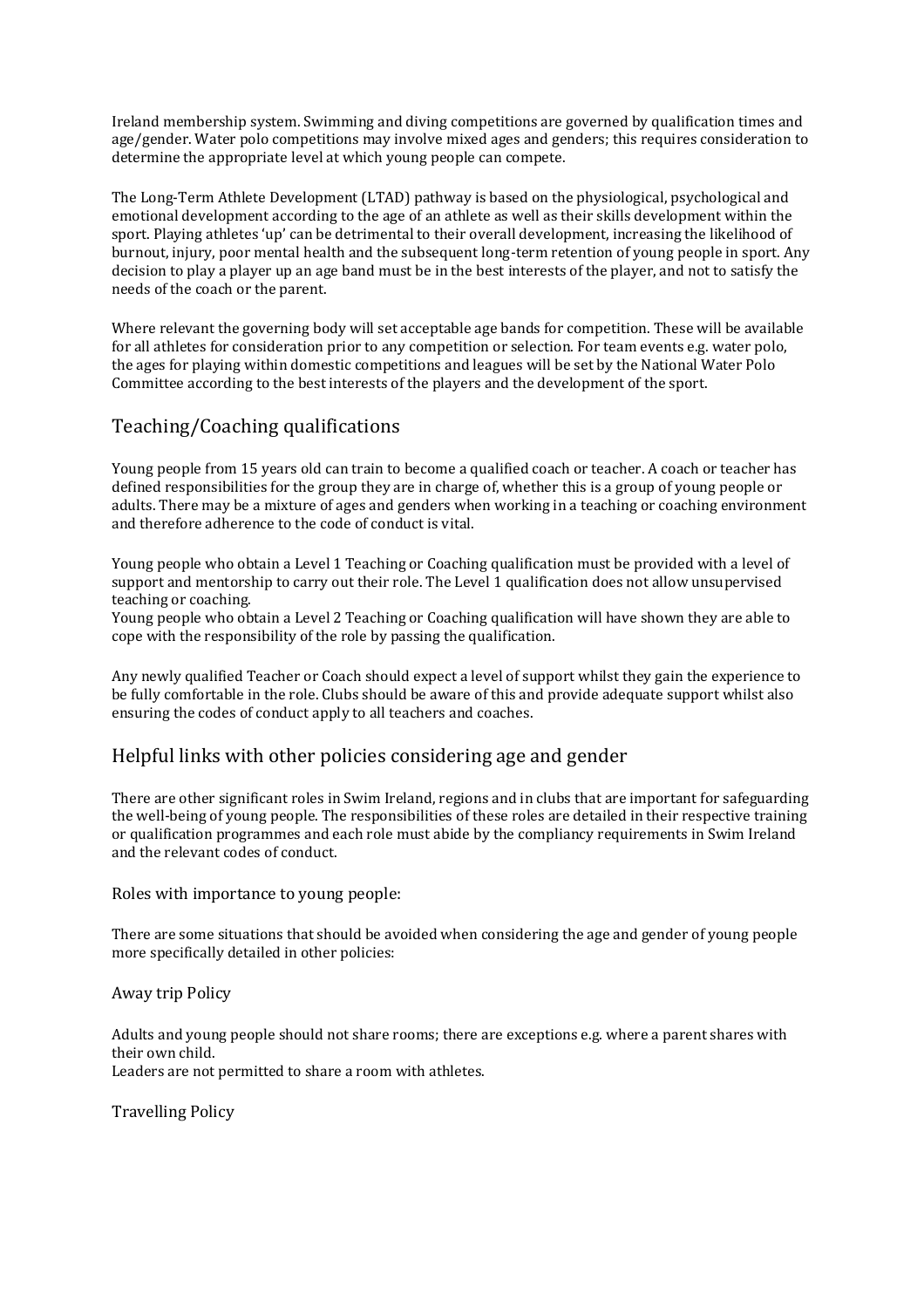Ireland membership system. Swimming and diving competitions are governed by qualification times and age/gender. Water polo competitions may involve mixed ages and genders; this requires consideration to determine the appropriate level at which young people can compete.

The Long-Term Athlete Development (LTAD) pathway is based on the physiological, psychological and emotional development according to the age of an athlete as well as their skills development within the sport. Playing athletes 'up' can be detrimental to their overall development, increasing the likelihood of burnout, injury, poor mental health and the subsequent long-term retention of young people in sport. Any decision to play a player up an age band must be in the best interests of the player, and not to satisfy the needs of the coach or the parent.

Where relevant the governing body will set acceptable age bands for competition. These will be available for all athletes for consideration prior to any competition or selection. For team events e.g. water polo, the ages for playing within domestic competitions and leagues will be set by the National Water Polo Committee according to the best interests of the players and the development of the sport.

# Teaching/Coaching qualifications

Young people from 15 years old can train to become a qualified coach or teacher. A coach or teacher has defined responsibilities for the group they are in charge of, whether this is a group of young people or adults. There may be a mixture of ages and genders when working in a teaching or coaching environment and therefore adherence to the code of conduct is vital.

Young people who obtain a Level 1 Teaching or Coaching qualification must be provided with a level of support and mentorship to carry out their role. The Level 1 qualification does not allow unsupervised teaching or coaching.

Young people who obtain a Level 2 Teaching or Coaching qualification will have shown they are able to cope with the responsibility of the role by passing the qualification.

Any newly qualified Teacher or Coach should expect a level of support whilst they gain the experience to be fully comfortable in the role. Clubs should be aware of this and provide adequate support whilst also ensuring the codes of conduct apply to all teachers and coaches.

### Helpful links with other policies considering age and gender

There are other significant roles in Swim Ireland, regions and in clubs that are important for safeguarding the well-being of young people. The responsibilities of these roles are detailed in their respective training or qualification programmes and each role must abide by the compliancy requirements in Swim Ireland and the relevant codes of conduct.

Roles with importance to young people:

There are some situations that should be avoided when considering the age and gender of young people more specifically detailed in other policies:

Away trip Policy

Adults and young people should not share rooms; there are exceptions e.g. where a parent shares with their own child.

Leaders are not permitted to share a room with athletes.

Travelling Policy